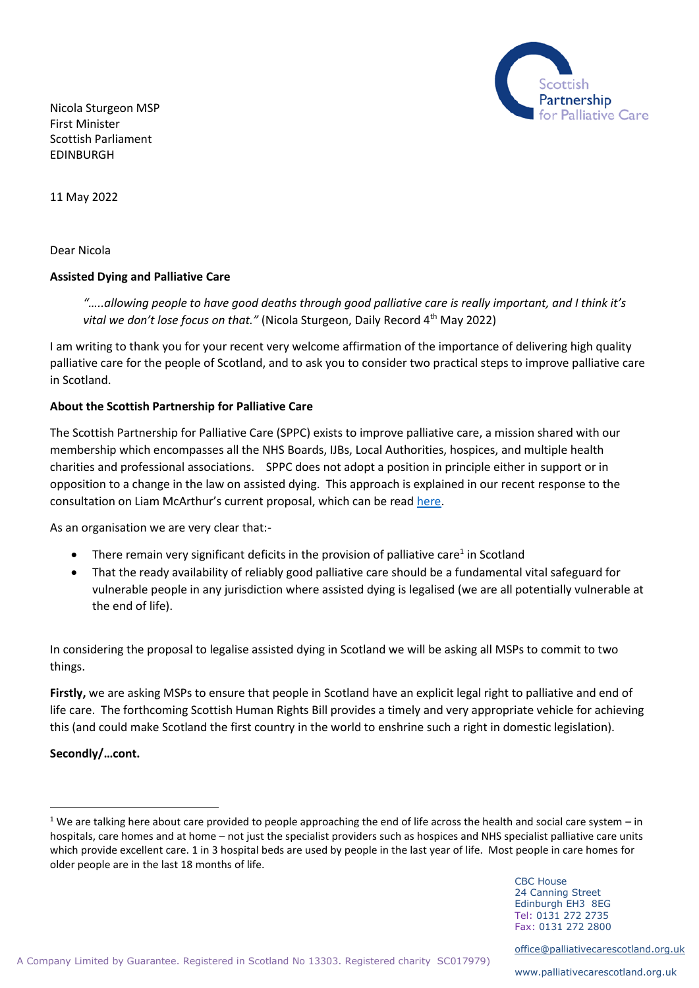

Nicola Sturgeon MSP First Minister Scottish Parliament EDINBURGH

11 May 2022

Dear Nicola

## **Assisted Dying and Palliative Care**

*"…..allowing people to have good deaths through good palliative care is really important, and I think it's*  vital we don't lose focus on that." (Nicola Sturgeon, Daily Record 4<sup>th</sup> May 2022)

I am writing to thank you for your recent very welcome affirmation of the importance of delivering high quality palliative care for the people of Scotland, and to ask you to consider two practical steps to improve palliative care in Scotland.

## **About the Scottish Partnership for Palliative Care**

The Scottish Partnership for Palliative Care (SPPC) exists to improve palliative care, a mission shared with our membership which encompasses all the NHS Boards, IJBs, Local Authorities, hospices, and multiple health charities and professional associations. SPPC does not adopt a position in principle either in support or in opposition to a change in the law on assisted dying. This approach is explained in our recent response to the consultation on Liam McArthur's current proposal, which can be read [here.](https://www.palliativecarescotland.org.uk/content/publications/SPPC-Response-to-Proposals-for-an-Assisted-Dying-Bill.pdf)

As an organisation we are very clear that:-

- There remain very significant deficits in the provision of palliative care<sup>1</sup> in Scotland
- That the ready availability of reliably good palliative care should be a fundamental vital safeguard for vulnerable people in any jurisdiction where assisted dying is legalised (we are all potentially vulnerable at the end of life).

In considering the proposal to legalise assisted dying in Scotland we will be asking all MSPs to commit to two things.

**Firstly,** we are asking MSPs to ensure that people in Scotland have an explicit legal right to palliative and end of life care. The forthcoming Scottish Human Rights Bill provides a timely and very appropriate vehicle for achieving this (and could make Scotland the first country in the world to enshrine such a right in domestic legislation).

## **Secondly/…cont.**

CBC House 24 Canning Street Edinburgh EH3 8EG Tel: 0131 272 2735 Fax: 0131 272 2800

[office@palliativecarescotland.org.uk](mailto:office@palliativecarescotland.org.uk)

<sup>&</sup>lt;sup>1</sup> We are talking here about care provided to people approaching the end of life across the health and social care system – in hospitals, care homes and at home – not just the specialist providers such as hospices and NHS specialist palliative care units which provide excellent care. 1 in 3 hospital beds are used by people in the last year of life. Most people in care homes for older people are in the last 18 months of life.